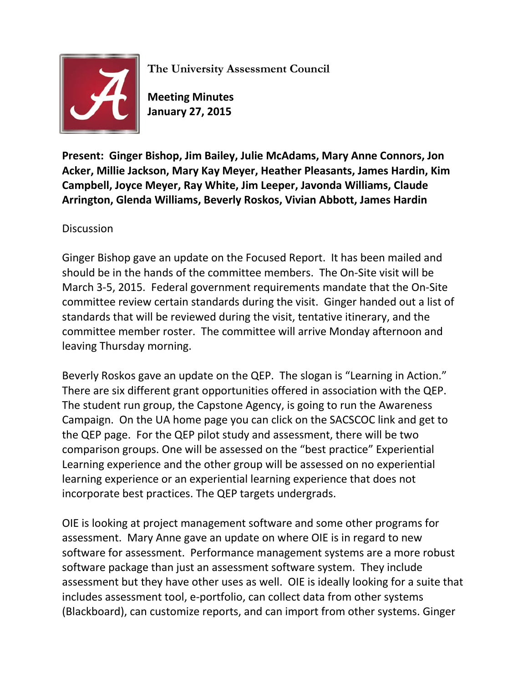

**The University Assessment Council**

**Meeting Minutes January 27, 2015**

**Present: Ginger Bishop, Jim Bailey, Julie McAdams, Mary Anne Connors, Jon Acker, Millie Jackson, Mary Kay Meyer, Heather Pleasants, James Hardin, Kim Campbell, Joyce Meyer, Ray White, Jim Leeper, Javonda Williams, Claude Arrington, Glenda Williams, Beverly Roskos, Vivian Abbott, James Hardin**

**Discussion** 

Ginger Bishop gave an update on the Focused Report. It has been mailed and should be in the hands of the committee members. The On-Site visit will be March 3-5, 2015. Federal government requirements mandate that the On-Site committee review certain standards during the visit. Ginger handed out a list of standards that will be reviewed during the visit, tentative itinerary, and the committee member roster. The committee will arrive Monday afternoon and leaving Thursday morning.

Beverly Roskos gave an update on the QEP. The slogan is "Learning in Action." There are six different grant opportunities offered in association with the QEP. The student run group, the Capstone Agency, is going to run the Awareness Campaign. On the UA home page you can click on the SACSCOC link and get to the QEP page. For the QEP pilot study and assessment, there will be two comparison groups. One will be assessed on the "best practice" Experiential Learning experience and the other group will be assessed on no experiential learning experience or an experiential learning experience that does not incorporate best practices. The QEP targets undergrads.

OIE is looking at project management software and some other programs for assessment. Mary Anne gave an update on where OIE is in regard to new software for assessment. Performance management systems are a more robust software package than just an assessment software system. They include assessment but they have other uses as well. OIE is ideally looking for a suite that includes assessment tool, e-portfolio, can collect data from other systems (Blackboard), can customize reports, and can import from other systems. Ginger